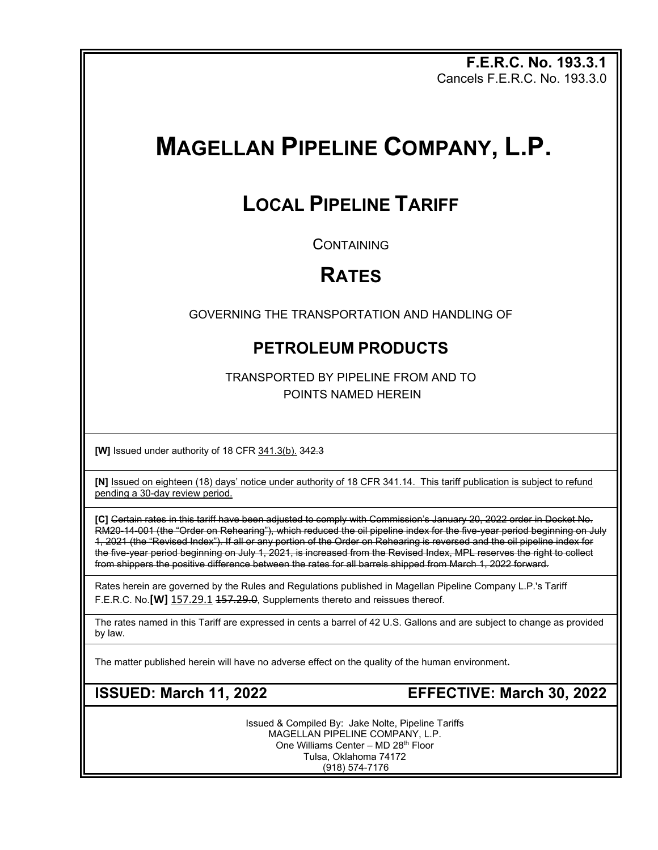**F.E.R.C. No. 193.3.1** Cancels F.E.R.C. No. 193.3.0

# **MAGELLAN PIPELINE COMPANY, L.P.**

## **LOCAL PIPELINE TARIFF**

**CONTAINING** 

## **RATES**

GOVERNING THE TRANSPORTATION AND HANDLING OF

## **PETROLEUM PRODUCTS**

TRANSPORTED BY PIPELINE FROM AND TO POINTS NAMED HEREIN

**[W]** Issued under authority of 18 CFR 341.3(b). 342.3

**[N]** Issued on eighteen (18) days' notice under authority of 18 CFR 341.14. This tariff publication is subject to refund pending a 30-day review period.

**[C]** Certain rates in this tariff have been adjusted to comply with Commission's January 20, 2022 order in Docket No. RM20-14-001 (the "Order on Rehearing"), which reduced the oil pipeline index for the five-year period beginning on July 1, 2021 (the "Revised Index"). If all or any portion of the Order on Rehearing is reversed and the oil pipeline index for the five-year period beginning on July 1, 2021, is increased from the Revised Index, MPL reserves the right to collect from shippers the positive difference between the rates for all barrels shipped from March 1, 2022 forward.

Rates herein are governed by the Rules and Regulations published in Magellan Pipeline Company L.P.'s Tariff F.E.R.C. No.**[W]** 157.29.1 157.29.0, Supplements thereto and reissues thereof.

The rates named in this Tariff are expressed in cents a barrel of 42 U.S. Gallons and are subject to change as provided by law.

The matter published herein will have no adverse effect on the quality of the human environment**.**

**ISSUED: March 11, 2022 EFFECTIVE: March 30, 2022**

Issued & Compiled By: Jake Nolte, Pipeline Tariffs MAGELLAN PIPELINE COMPANY, L.P. One Williams Center - MD 28<sup>th</sup> Floor Tulsa, Oklahoma 74172 (918) 574-7176